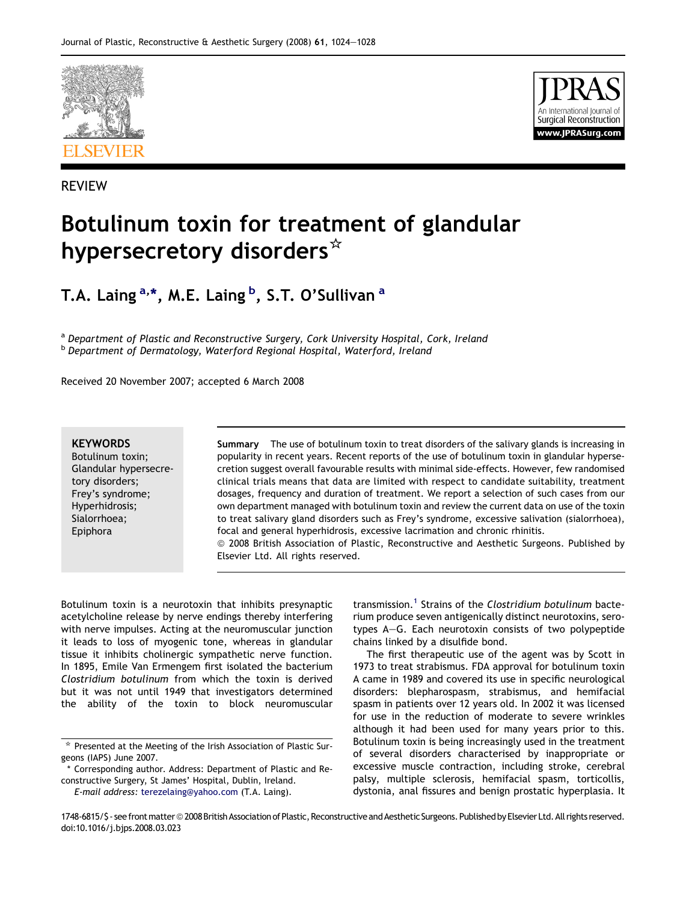

REVIEW



# Botulinum toxin for treatment of glandular hypersecretory disorders\*

T.A. Laing <sup>a,</sup>\*, M.E. Laing <sup>b</sup>, S.T. O'Sullivan <sup>a</sup>

a Department of Plastic and Reconstructive Surgery, Cork University Hospital, Cork, Ireland **b** Department of Dermatology, Waterford Regional Hospital, Waterford, Ireland

Received 20 November 2007; accepted 6 March 2008

#### **KEYWORDS**

Botulinum toxin; Glandular hypersecretory disorders; Frey's syndrome; Hyperhidrosis; Sialorrhoea; Epiphora

Summary The use of botulinum toxin to treat disorders of the salivary glands is increasing in popularity in recent years. Recent reports of the use of botulinum toxin in glandular hypersecretion suggest overall favourable results with minimal side-effects. However, few randomised clinical trials means that data are limited with respect to candidate suitability, treatment dosages, frequency and duration of treatment. We report a selection of such cases from our own department managed with botulinum toxin and review the current data on use of the toxin to treat salivary gland disorders such as Frey's syndrome, excessive salivation (sialorrhoea), focal and general hyperhidrosis, excessive lacrimation and chronic rhinitis. ª 2008 British Association of Plastic, Reconstructive and Aesthetic Surgeons. Published by Elsevier Ltd. All rights reserved.

Botulinum toxin is a neurotoxin that inhibits presynaptic acetylcholine release by nerve endings thereby interfering with nerve impulses. Acting at the neuromuscular junction it leads to loss of myogenic tone, whereas in glandular tissue it inhibits cholinergic sympathetic nerve function. In 1895, Emile Van Ermengem first isolated the bacterium Clostridium botulinum from which the toxin is derived but it was not until 1949 that investigators determined the ability of the toxin to block neuromuscular

\* Corresponding author. Address: Department of Plastic and Reconstructive Surgery, St James' Hospital, Dublin, Ireland.

E-mail address: [terezelaing@yahoo.com](mailto:terezelaing@yahoo.com) (T.A. Laing).

transmission.<sup>[1](#page-4-0)</sup> Strains of the Clostridium botulinum bacterium produce seven antigenically distinct neurotoxins, serotypes A-G. Each neurotoxin consists of two polypeptide chains linked by a disulfide bond.

The first therapeutic use of the agent was by Scott in 1973 to treat strabismus. FDA approval for botulinum toxin A came in 1989 and covered its use in specific neurological disorders: blepharospasm, strabismus, and hemifacial spasm in patients over 12 years old. In 2002 it was licensed for use in the reduction of moderate to severe wrinkles although it had been used for many years prior to this. Botulinum toxin is being increasingly used in the treatment of several disorders characterised by inappropriate or excessive muscle contraction, including stroke, cerebral palsy, multiple sclerosis, hemifacial spasm, torticollis, dystonia, anal fissures and benign prostatic hyperplasia. It

1748-6815/\$-see front matter @ 2008 British Association of Plastic, Reconstructive and Aesthetic Surgeons. Published by Elsevier Ltd. All rights reserved. doi:10.1016/j.bjps.2008.03.023

 $*$  Presented at the Meeting of the Irish Association of Plastic Surgeons (IAPS) June 2007.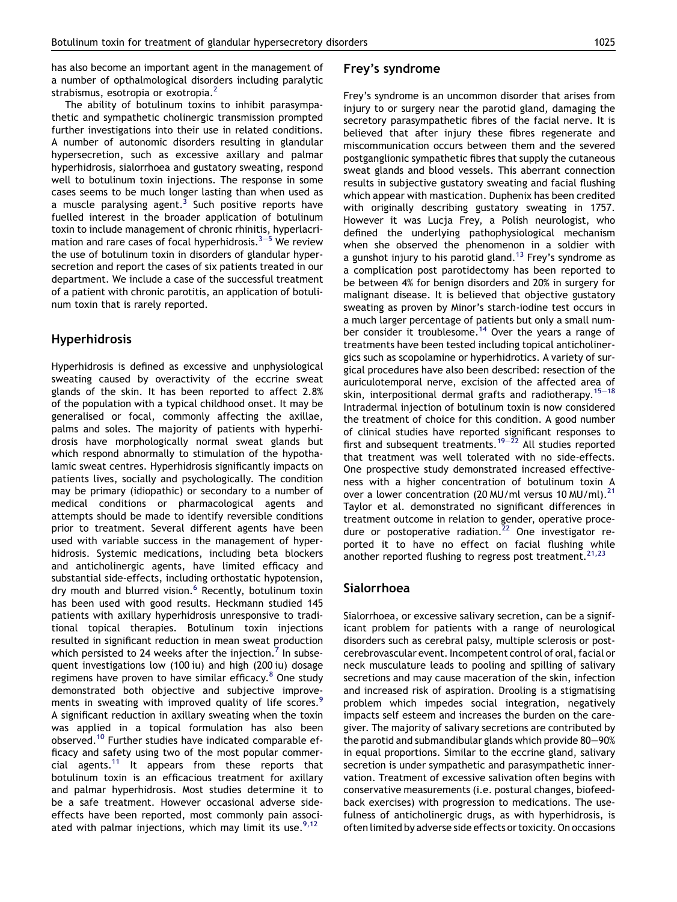has also become an important agent in the management of a number of opthalmological disorders including paralytic strabismus, esotropia or exotropia. $<sup>2</sup>$  $<sup>2</sup>$  $<sup>2</sup>$ </sup>

The ability of botulinum toxins to inhibit parasympathetic and sympathetic cholinergic transmission prompted further investigations into their use in related conditions. A number of autonomic disorders resulting in glandular hypersecretion, such as excessive axillary and palmar hyperhidrosis, sialorrhoea and gustatory sweating, respond well to botulinum toxin injections. The response in some cases seems to be much longer lasting than when used as a muscle paralysing agent.<sup>[3](#page-4-0)</sup> Such positive reports have fuelled interest in the broader application of botulinum toxin to include management of chronic rhinitis, hyperlacrimation and rar[e](#page-4-0) cases of focal hyperhidrosis.<sup>3-[5](#page-4-0)</sup> We review the use of botulinum toxin in disorders of glandular hypersecretion and report the cases of six patients treated in our department. We include a case of the successful treatment of a patient with chronic parotitis, an application of botulinum toxin that is rarely reported.

## Hyperhidrosis

Hyperhidrosis is defined as excessive and unphysiological sweating caused by overactivity of the eccrine sweat glands of the skin. It has been reported to affect 2.8% of the population with a typical childhood onset. It may be generalised or focal, commonly affecting the axillae, palms and soles. The majority of patients with hyperhidrosis have morphologically normal sweat glands but which respond abnormally to stimulation of the hypothalamic sweat centres. Hyperhidrosis significantly impacts on patients lives, socially and psychologically. The condition may be primary (idiopathic) or secondary to a number of medical conditions or pharmacological agents and attempts should be made to identify reversible conditions prior to treatment. Several different agents have been used with variable success in the management of hyperhidrosis. Systemic medications, including beta blockers and anticholinergic agents, have limited efficacy and substantial side-effects, including orthostatic hypotension, dry mouth and blurred vision.<sup>[6](#page-4-0)</sup> Recently, botulinum toxin has been used with good results. Heckmann studied 145 patients with axillary hyperhidrosis unresponsive to traditional topical therapies. Botulinum toxin injections resulted in significant reduction in mean sweat production which persisted to 24 weeks after the injection.<sup>[7](#page-4-0)</sup> In subsequent investigations low (100 iu) and high (200 iu) dosage regimens have proven to have similar efficacy.<sup>[8](#page-4-0)</sup> One study demonstrated both objective and subjective improve-ments in sweating with improved quality of life scores.<sup>[9](#page-4-0)</sup> A significant reduction in axillary sweating when the toxin was applied in a topical formulation has also been observed.[10](#page-4-0) Further studies have indicated comparable efficacy and safety using two of the most popular commercial agents.[11](#page-4-0) It appears from these reports that botulinum toxin is an efficacious treatment for axillary and palmar hyperhidrosis. Most studies determine it to be a safe treatment. However occasional adverse sideeffects have been reported, most commonly pain associated with palmar injections, which may limit its use.  $9,12$ 

# Frey's syndrome

Frey's syndrome is an uncommon disorder that arises from injury to or surgery near the parotid gland, damaging the secretory parasympathetic fibres of the facial nerve. It is believed that after injury these fibres regenerate and miscommunication occurs between them and the severed postganglionic sympathetic fibres that supply the cutaneous sweat glands and blood vessels. This aberrant connection results in subjective gustatory sweating and facial flushing which appear with mastication. Duphenix has been credited with originally describing gustatory sweating in 1757. However it was Lucja Frey, a Polish neurologist, who defined the underlying pathophysiological mechanism when she observed the phenomenon in a soldier with a gunshot injury to his parotid gland.<sup>[13](#page-4-0)</sup> Frey's syndrome as a complication post parotidectomy has been reported to be between 4% for benign disorders and 20% in surgery for malignant disease. It is believed that objective gustatory sweating as proven by Minor's starch-iodine test occurs in a much larger percentage of patients but only a small num-ber consider it troublesome.<sup>[14](#page-4-0)</sup> Over the years a range of treatments have been tested including topical anticholinergics such as scopolamine or hyperhidrotics. A variety of surgical procedures have also been described: resection of the auriculotemporal nerve, excision of the affected area of skin, interpositional dermal grafts and radiotherapy.<sup>[15](#page-4-0)-[18](#page-4-0)</sup> Intradermal injection of botulinum toxin is now considered the treatment of choice for this condition. A good number of clinical studies have reported significant responses to first and subsequent treatments.<sup>[19](#page-4-0)–[22](#page-4-0)</sup> All studies reported that treatment was well tolerated with no side-effects. One prospective study demonstrated increased effectiveness with a higher concentration of botulinum toxin A over a lower concentration (20 MU/ml versus 10 MU/ml).<sup>21</sup> Taylor et al. demonstrated no significant differences in treatment outcome in relation to gender, operative procedure or postoperative radiation. $22$  One investigator reported it to have no effect on facial flushing while another reported flushing to regress post treatment.<sup>[21,23](#page-4-0)</sup>

#### Sialorrhoea

Sialorrhoea, or excessive salivary secretion, can be a significant problem for patients with a range of neurological disorders such as cerebral palsy, multiple sclerosis or postcerebrovascular event. Incompetent control of oral, facial or neck musculature leads to pooling and spilling of salivary secretions and may cause maceration of the skin, infection and increased risk of aspiration. Drooling is a stigmatising problem which impedes social integration, negatively impacts self esteem and increases the burden on the caregiver. The majority of salivary secretions are contributed by the parotid and submandibular glands which provide  $80-90%$ in equal proportions. Similar to the eccrine gland, salivary secretion is under sympathetic and parasympathetic innervation. Treatment of excessive salivation often begins with conservative measurements (i.e. postural changes, biofeedback exercises) with progression to medications. The usefulness of anticholinergic drugs, as with hyperhidrosis, is often limited by adverse side effects or toxicity. On occasions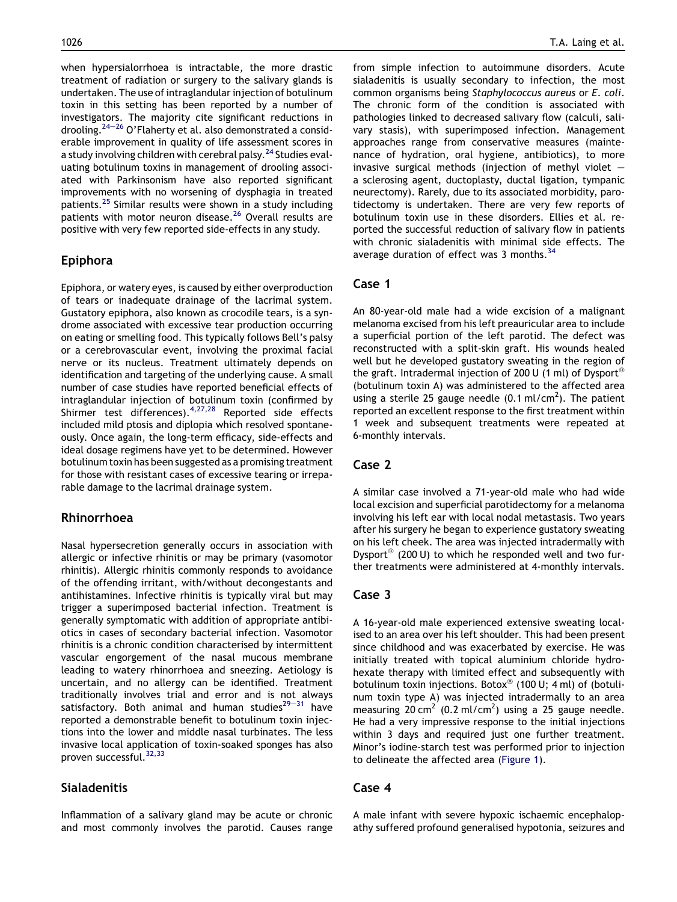when hypersialorrhoea is intractable, the more drastic treatment of radiation or surgery to the salivary glands is undertaken. The use of intraglandular injection of botulinum toxin in this setting has been reported by a number of investigators. The majority cite significant reductions in drooling.<sup>[24](#page-4-0)–[26](#page-4-0)</sup> O'Flaherty et al. also demonstrated a considerable improvement in quality of life assessment scores in a study involving children with cerebral palsy.<sup>[24](#page-4-0)</sup> Studies evaluating botulinum toxins in management of drooling associated with Parkinsonism have also reported significant improvements with no worsening of dysphagia in treated patients.[25](#page-4-0) Similar results were shown in a study including patients with motor neuron disease.<sup>[26](#page-4-0)</sup> Overall results are positive with very few reported side-effects in any study.

# Epiphora

Epiphora, or watery eyes, is caused by either overproduction of tears or inadequate drainage of the lacrimal system. Gustatory epiphora, also known as crocodile tears, is a syndrome associated with excessive tear production occurring on eating or smelling food. This typically follows Bell's palsy or a cerebrovascular event, involving the proximal facial nerve or its nucleus. Treatment ultimately depends on identification and targeting of the underlying cause. A small number of case studies have reported beneficial effects of intraglandular injection of botulinum toxin (confirmed by Shirmer test differences).  $4,27,28$  Reported side effects included mild ptosis and diplopia which resolved spontaneously. Once again, the long-term efficacy, side-effects and ideal dosage regimens have yet to be determined. However botulinum toxin has been suggested as a promising treatment for those with resistant cases of excessive tearing or irreparable damage to the lacrimal drainage system.

## Rhinorrhoea

Nasal hypersecretion generally occurs in association with allergic or infective rhinitis or may be primary (vasomotor rhinitis). Allergic rhinitis commonly responds to avoidance of the offending irritant, with/without decongestants and antihistamines. Infective rhinitis is typically viral but may trigger a superimposed bacterial infection. Treatment is generally symptomatic with addition of appropriate antibiotics in cases of secondary bacterial infection. Vasomotor rhinitis is a chronic condition characterised by intermittent vascular engorgement of the nasal mucous membrane leading to watery rhinorrhoea and sneezing. Aetiology is uncertain, and no allergy can be identified. Treatment traditionally involves trial and error and is not always satisfactory. Both animal and human studies $29-31$  $29-31$  $29-31$  have reported a demonstrable benefit to botulinum toxin injections into the lower and middle nasal turbinates. The less invasive local application of toxin-soaked sponges has also proven successful.<sup>[32,33](#page-4-0)</sup>

# Sialadenitis

Inflammation of a salivary gland may be acute or chronic and most commonly involves the parotid. Causes range from simple infection to autoimmune disorders. Acute sialadenitis is usually secondary to infection, the most common organisms being Staphylococcus aureus or E. coli. The chronic form of the condition is associated with pathologies linked to decreased salivary flow (calculi, salivary stasis), with superimposed infection. Management approaches range from conservative measures (maintenance of hydration, oral hygiene, antibiotics), to more invasive surgical methods (injection of methyl violet  $$ a sclerosing agent, ductoplasty, ductal ligation, tympanic neurectomy). Rarely, due to its associated morbidity, parotidectomy is undertaken. There are very few reports of botulinum toxin use in these disorders. Ellies et al. reported the successful reduction of salivary flow in patients with chronic sialadenitis with minimal side effects. The average duration of effect was 3 months.<sup>[34](#page-4-0)</sup>

## Case 1

An 80-year-old male had a wide excision of a malignant melanoma excised from his left preauricular area to include a superficial portion of the left parotid. The defect was reconstructed with a split-skin graft. His wounds healed well but he developed gustatory sweating in the region of the graft. Intradermal injection of 200 U (1 ml) of Dysport<sup>®</sup> (botulinum toxin A) was administered to the affected area using a sterile 25 gauge needle  $(0.1 \text{ ml/cm}^2)$ . The patient reported an excellent response to the first treatment within 1 week and subsequent treatments were repeated at 6-monthly intervals.

## Case 2

A similar case involved a 71-year-old male who had wide local excision and superficial parotidectomy for a melanoma involving his left ear with local nodal metastasis. Two years after his surgery he began to experience gustatory sweating on his left cheek. The area was injected intradermally with Dysport<sup>®</sup> (200 U) to which he responded well and two further treatments were administered at 4-monthly intervals.

# Case 3

A 16-year-old male experienced extensive sweating localised to an area over his left shoulder. This had been present since childhood and was exacerbated by exercise. He was initially treated with topical aluminium chloride hydrohexate therapy with limited effect and subsequently with botulinum toxin injections. Botox® (100 U; 4 ml) of (botulinum toxin type A) was injected intradermally to an area measuring 20 cm<sup>2</sup> (0.2 ml/cm<sup>2</sup>) using a 25 gauge needle. He had a very impressive response to the initial injections within 3 days and required just one further treatment. Minor's iodine-starch test was performed prior to injection to delineate the affected area ([Figure 1](#page-3-0)).

#### Case 4

A male infant with severe hypoxic ischaemic encephalopathy suffered profound generalised hypotonia, seizures and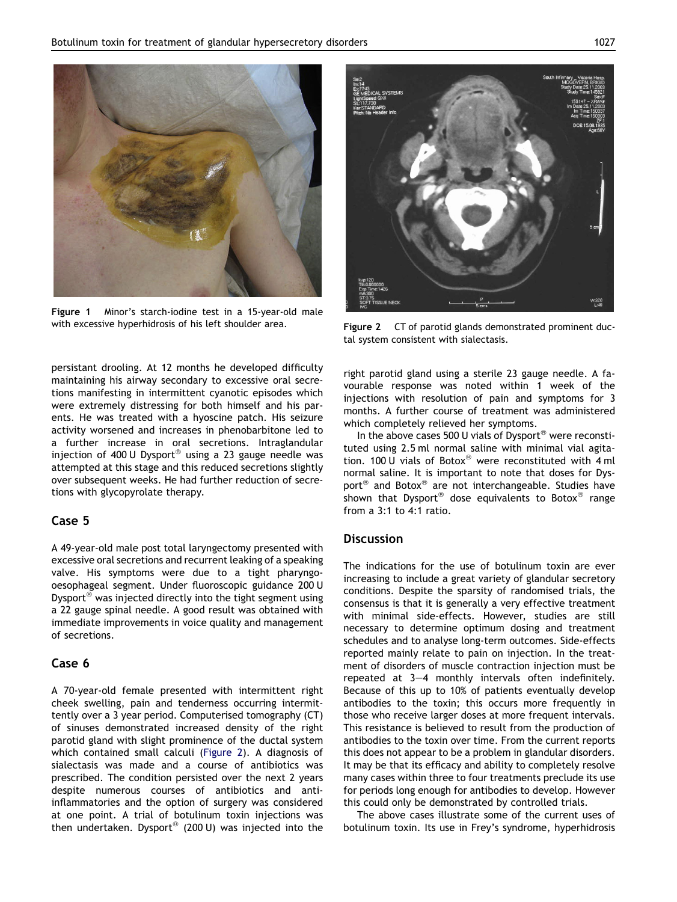<span id="page-3-0"></span>

Figure 1 Minor's starch-iodine test in a 15-year-old male with excessive hyperhidrosis of his left shoulder area. Figure 2 CT of parotid glands demonstrated prominent duc-

persistant drooling. At 12 months he developed difficulty maintaining his airway secondary to excessive oral secretions manifesting in intermittent cyanotic episodes which were extremely distressing for both himself and his parents. He was treated with a hyoscine patch. His seizure activity worsened and increases in phenobarbitone led to a further increase in oral secretions. Intraglandular injection of 400 U Dysport $^{\circledast}$  using a 23 gauge needle was attempted at this stage and this reduced secretions slightly over subsequent weeks. He had further reduction of secretions with glycopyrolate therapy.

#### Case 5

A 49-year-old male post total laryngectomy presented with excessive oral secretions and recurrent leaking of a speaking valve. His symptoms were due to a tight pharyngooesophageal segment. Under fluoroscopic guidance 200 U Dysport<sup>®</sup> was injected directly into the tight segment using a 22 gauge spinal needle. A good result was obtained with immediate improvements in voice quality and management of secretions.

# Case 6

A 70-year-old female presented with intermittent right cheek swelling, pain and tenderness occurring intermittently over a 3 year period. Computerised tomography (CT) of sinuses demonstrated increased density of the right parotid gland with slight prominence of the ductal system which contained small calculi (Figure 2). A diagnosis of sialectasis was made and a course of antibiotics was prescribed. The condition persisted over the next 2 years despite numerous courses of antibiotics and antiinflammatories and the option of surgery was considered at one point. A trial of botulinum toxin injections was then undertaken. Dysport $^{\circ\circ}$  (200 U) was injected into the



tal system consistent with sialectasis.

right parotid gland using a sterile 23 gauge needle. A favourable response was noted within 1 week of the injections with resolution of pain and symptoms for 3 months. A further course of treatment was administered which completely relieved her symptoms.

In the above cases 500 U vials of Dysport<sup>®</sup> were reconstituted using 2.5 ml normal saline with minimal vial agitation. 100 U vials of Botox® were reconstituted with  $4$  ml normal saline. It is important to note that doses for Dysport<sup>®</sup> and Botox<sup>®</sup> are not interchangeable. Studies have shown that Dysport<sup>®</sup> dose equivalents to Botox<sup>®</sup> range from a 3:1 to 4:1 ratio.

# **Discussion**

The indications for the use of botulinum toxin are ever increasing to include a great variety of glandular secretory conditions. Despite the sparsity of randomised trials, the consensus is that it is generally a very effective treatment with minimal side-effects. However, studies are still necessary to determine optimum dosing and treatment schedules and to analyse long-term outcomes. Side-effects reported mainly relate to pain on injection. In the treatment of disorders of muscle contraction injection must be repeated at  $3-4$  monthly intervals often indefinitely. Because of this up to 10% of patients eventually develop antibodies to the toxin; this occurs more frequently in those who receive larger doses at more frequent intervals. This resistance is believed to result from the production of antibodies to the toxin over time. From the current reports this does not appear to be a problem in glandular disorders. It may be that its efficacy and ability to completely resolve many cases within three to four treatments preclude its use for periods long enough for antibodies to develop. However this could only be demonstrated by controlled trials.

The above cases illustrate some of the current uses of botulinum toxin. Its use in Frey's syndrome, hyperhidrosis